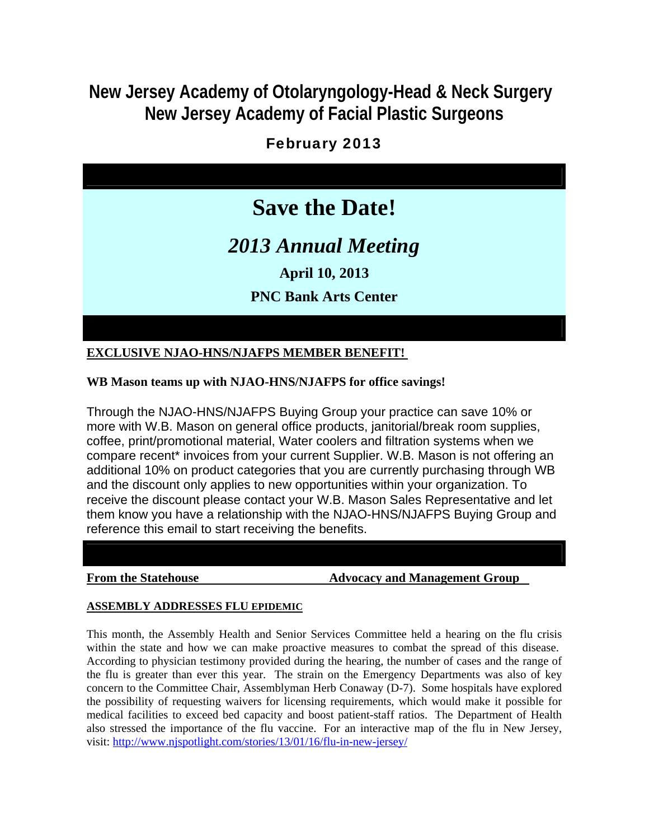# **New Jersey Academy of Otolaryngology-Head & Neck Surgery New Jersey Academy of Facial Plastic Surgeons**

# February 2013



**EXCLUSIVE NJAO-HNS/NJAFPS MEMBER BENEFIT!** 

**WB Mason teams up with NJAO-HNS/NJAFPS for office savings!** 

Through the NJAO-HNS/NJAFPS Buying Group your practice can save 10% or more with W.B. Mason on general office products, janitorial/break room supplies, coffee, print/promotional material, Water coolers and filtration systems when we compare recent\* invoices from your current Supplier. W.B. Mason is not offering an additional 10% on product categories that you are currently purchasing through WB and the discount only applies to new opportunities within your organization. To receive the discount please contact your W.B. Mason Sales Representative and let them know you have a relationship with the NJAO-HNS/NJAFPS Buying Group and reference this email to start receiving the benefits.

**From the Statehouse The Statehouse Advocacy and Management Group** 

# **ASSEMBLY ADDRESSES FLU EPIDEMIC**

This month, the Assembly Health and Senior Services Committee held a hearing on the flu crisis within the state and how we can make proactive measures to combat the spread of this disease. According to physician testimony provided during the hearing, the number of cases and the range of the flu is greater than ever this year. The strain on the Emergency Departments was also of key concern to the Committee Chair, Assemblyman Herb Conaway (D-7). Some hospitals have explored the possibility of requesting waivers for licensing requirements, which would make it possible for medical facilities to exceed bed capacity and boost patient-staff ratios. The Department of Health also stressed the importance of the flu vaccine. For an interactive map of the flu in New Jersey, visit: http://www.njspotlight.com/stories/13/01/16/flu-in-new-jersey/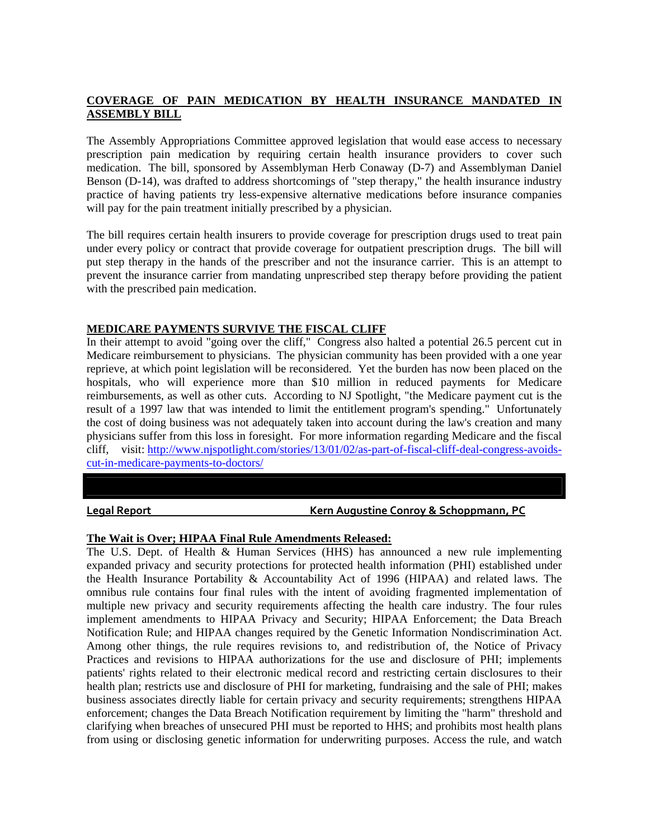# **COVERAGE OF PAIN MEDICATION BY HEALTH INSURANCE MANDATED IN ASSEMBLY BILL**

The Assembly Appropriations Committee approved legislation that would ease access to necessary prescription pain medication by requiring certain health insurance providers to cover such medication. The bill, sponsored by Assemblyman Herb Conaway (D-7) and Assemblyman Daniel Benson (D-14), was drafted to address shortcomings of "step therapy," the health insurance industry practice of having patients try less-expensive alternative medications before insurance companies will pay for the pain treatment initially prescribed by a physician.

The bill requires certain health insurers to provide coverage for prescription drugs used to treat pain under every policy or contract that provide coverage for outpatient prescription drugs. The bill will put step therapy in the hands of the prescriber and not the insurance carrier. This is an attempt to prevent the insurance carrier from mandating unprescribed step therapy before providing the patient with the prescribed pain medication.

## **MEDICARE PAYMENTS SURVIVE THE FISCAL CLIFF**

In their attempt to avoid "going over the cliff," Congress also halted a potential 26.5 percent cut in Medicare reimbursement to physicians. The physician community has been provided with a one year reprieve, at which point legislation will be reconsidered. Yet the burden has now been placed on the hospitals, who will experience more than \$10 million in reduced payments for Medicare reimbursements, as well as other cuts. According to NJ Spotlight, "the Medicare payment cut is the result of a 1997 law that was intended to limit the entitlement program's spending." Unfortunately the cost of doing business was not adequately taken into account during the law's creation and many physicians suffer from this loss in foresight. For more information regarding Medicare and the fiscal cliff, visit: http://www.njspotlight.com/stories/13/01/02/as-part-of-fiscal-cliff-deal-congress-avoidscut-in-medicare-payments-to-doctors/

**Legal Report Kern Augustine Conroy & Schoppmann, PC**

#### **The Wait is Over; HIPAA Final Rule Amendments Released:**

The U.S. Dept. of Health & Human Services (HHS) has announced a new rule implementing expanded privacy and security protections for protected health information (PHI) established under the Health Insurance Portability & Accountability Act of 1996 (HIPAA) and related laws. The omnibus rule contains four final rules with the intent of avoiding fragmented implementation of multiple new privacy and security requirements affecting the health care industry. The four rules implement amendments to HIPAA Privacy and Security; HIPAA Enforcement; the Data Breach Notification Rule; and HIPAA changes required by the Genetic Information Nondiscrimination Act. Among other things, the rule requires revisions to, and redistribution of, the Notice of Privacy Practices and revisions to HIPAA authorizations for the use and disclosure of PHI; implements patients' rights related to their electronic medical record and restricting certain disclosures to their health plan; restricts use and disclosure of PHI for marketing, fundraising and the sale of PHI; makes business associates directly liable for certain privacy and security requirements; strengthens HIPAA enforcement; changes the Data Breach Notification requirement by limiting the "harm" threshold and clarifying when breaches of unsecured PHI must be reported to HHS; and prohibits most health plans from using or disclosing genetic information for underwriting purposes. Access the rule, and watch